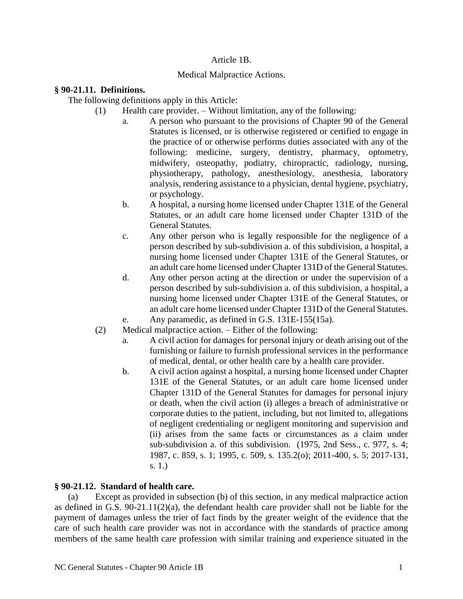## Article 1B.

## Medical Malpractice Actions.

## **§ 90-21.11. Definitions.**

The following definitions apply in this Article:

- (1) Health care provider. Without limitation, any of the following:
	- a. A person who pursuant to the provisions of Chapter 90 of the General Statutes is licensed, or is otherwise registered or certified to engage in the practice of or otherwise performs duties associated with any of the following: medicine, surgery, dentistry, pharmacy, optometry, midwifery, osteopathy, podiatry, chiropractic, radiology, nursing, physiotherapy, pathology, anesthesiology, anesthesia, laboratory analysis, rendering assistance to a physician, dental hygiene, psychiatry, or psychology.
	- b. A hospital, a nursing home licensed under Chapter 131E of the General Statutes, or an adult care home licensed under Chapter 131D of the General Statutes.
	- c. Any other person who is legally responsible for the negligence of a person described by sub-subdivision a. of this subdivision, a hospital, a nursing home licensed under Chapter 131E of the General Statutes, or an adult care home licensed under Chapter 131D of the General Statutes.
	- d. Any other person acting at the direction or under the supervision of a person described by sub-subdivision a. of this subdivision, a hospital, a nursing home licensed under Chapter 131E of the General Statutes, or an adult care home licensed under Chapter 131D of the General Statutes.
	- e. Any paramedic, as defined in G.S. 131E-155(15a).
- (2) Medical malpractice action. Either of the following:
	- a. A civil action for damages for personal injury or death arising out of the furnishing or failure to furnish professional services in the performance of medical, dental, or other health care by a health care provider.
	- b. A civil action against a hospital, a nursing home licensed under Chapter 131E of the General Statutes, or an adult care home licensed under Chapter 131D of the General Statutes for damages for personal injury or death, when the civil action (i) alleges a breach of administrative or corporate duties to the patient, including, but not limited to, allegations of negligent credentialing or negligent monitoring and supervision and (ii) arises from the same facts or circumstances as a claim under sub-subdivision a. of this subdivision. (1975, 2nd Sess., c. 977, s. 4; 1987, c. 859, s. 1; 1995, c. 509, s. 135.2(o); 2011-400, s. 5; 2017-131, s. 1.)

# **§ 90-21.12. Standard of health care.**

(a) Except as provided in subsection (b) of this section, in any medical malpractice action as defined in G.S. 90-21.11(2)(a), the defendant health care provider shall not be liable for the payment of damages unless the trier of fact finds by the greater weight of the evidence that the care of such health care provider was not in accordance with the standards of practice among members of the same health care profession with similar training and experience situated in the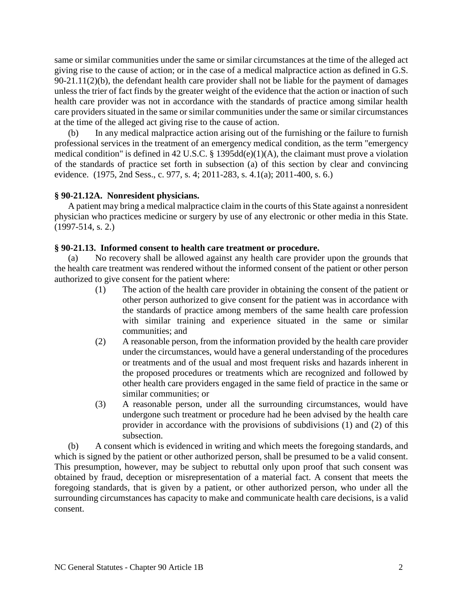same or similar communities under the same or similar circumstances at the time of the alleged act giving rise to the cause of action; or in the case of a medical malpractice action as defined in G.S. 90-21.11(2)(b), the defendant health care provider shall not be liable for the payment of damages unless the trier of fact finds by the greater weight of the evidence that the action or inaction of such health care provider was not in accordance with the standards of practice among similar health care providers situated in the same or similar communities under the same or similar circumstances at the time of the alleged act giving rise to the cause of action.

(b) In any medical malpractice action arising out of the furnishing or the failure to furnish professional services in the treatment of an emergency medical condition, as the term "emergency medical condition" is defined in 42 U.S.C. § 1395dd(e)(1)(A), the claimant must prove a violation of the standards of practice set forth in subsection (a) of this section by clear and convincing evidence. (1975, 2nd Sess., c. 977, s. 4; 2011-283, s. 4.1(a); 2011-400, s. 6.)

## **§ 90-21.12A. Nonresident physicians.**

A patient may bring a medical malpractice claim in the courts of this State against a nonresident physician who practices medicine or surgery by use of any electronic or other media in this State. (1997-514, s. 2.)

### **§ 90-21.13. Informed consent to health care treatment or procedure.**

(a) No recovery shall be allowed against any health care provider upon the grounds that the health care treatment was rendered without the informed consent of the patient or other person authorized to give consent for the patient where:

- (1) The action of the health care provider in obtaining the consent of the patient or other person authorized to give consent for the patient was in accordance with the standards of practice among members of the same health care profession with similar training and experience situated in the same or similar communities; and
- (2) A reasonable person, from the information provided by the health care provider under the circumstances, would have a general understanding of the procedures or treatments and of the usual and most frequent risks and hazards inherent in the proposed procedures or treatments which are recognized and followed by other health care providers engaged in the same field of practice in the same or similar communities; or
- (3) A reasonable person, under all the surrounding circumstances, would have undergone such treatment or procedure had he been advised by the health care provider in accordance with the provisions of subdivisions (1) and (2) of this subsection.

(b) A consent which is evidenced in writing and which meets the foregoing standards, and which is signed by the patient or other authorized person, shall be presumed to be a valid consent. This presumption, however, may be subject to rebuttal only upon proof that such consent was obtained by fraud, deception or misrepresentation of a material fact. A consent that meets the foregoing standards, that is given by a patient, or other authorized person, who under all the surrounding circumstances has capacity to make and communicate health care decisions, is a valid consent.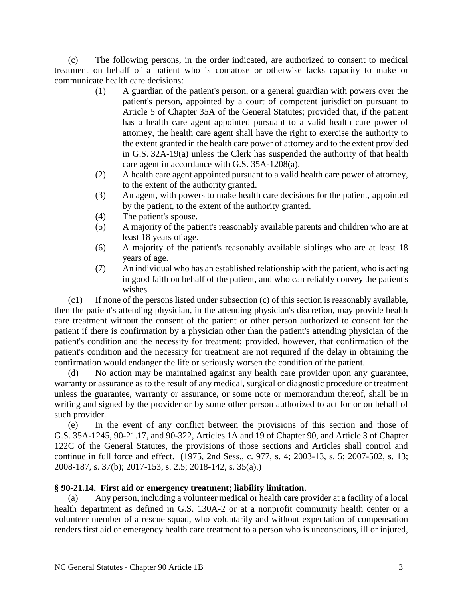(c) The following persons, in the order indicated, are authorized to consent to medical treatment on behalf of a patient who is comatose or otherwise lacks capacity to make or communicate health care decisions:

- (1) A guardian of the patient's person, or a general guardian with powers over the patient's person, appointed by a court of competent jurisdiction pursuant to Article 5 of Chapter 35A of the General Statutes; provided that, if the patient has a health care agent appointed pursuant to a valid health care power of attorney, the health care agent shall have the right to exercise the authority to the extent granted in the health care power of attorney and to the extent provided in G.S. 32A-19(a) unless the Clerk has suspended the authority of that health care agent in accordance with G.S. 35A-1208(a).
- (2) A health care agent appointed pursuant to a valid health care power of attorney, to the extent of the authority granted.
- (3) An agent, with powers to make health care decisions for the patient, appointed by the patient, to the extent of the authority granted.
- (4) The patient's spouse.
- (5) A majority of the patient's reasonably available parents and children who are at least 18 years of age.
- (6) A majority of the patient's reasonably available siblings who are at least 18 years of age.
- (7) An individual who has an established relationship with the patient, who is acting in good faith on behalf of the patient, and who can reliably convey the patient's wishes.

(c1) If none of the persons listed under subsection (c) of this section is reasonably available, then the patient's attending physician, in the attending physician's discretion, may provide health care treatment without the consent of the patient or other person authorized to consent for the patient if there is confirmation by a physician other than the patient's attending physician of the patient's condition and the necessity for treatment; provided, however, that confirmation of the patient's condition and the necessity for treatment are not required if the delay in obtaining the confirmation would endanger the life or seriously worsen the condition of the patient.

(d) No action may be maintained against any health care provider upon any guarantee, warranty or assurance as to the result of any medical, surgical or diagnostic procedure or treatment unless the guarantee, warranty or assurance, or some note or memorandum thereof, shall be in writing and signed by the provider or by some other person authorized to act for or on behalf of such provider.

(e) In the event of any conflict between the provisions of this section and those of G.S. 35A-1245, 90-21.17, and 90-322, Articles 1A and 19 of Chapter 90, and Article 3 of Chapter 122C of the General Statutes, the provisions of those sections and Articles shall control and continue in full force and effect. (1975, 2nd Sess., c. 977, s. 4; 2003-13, s. 5; 2007-502, s. 13; 2008-187, s. 37(b); 2017-153, s. 2.5; 2018-142, s. 35(a).)

# **§ 90-21.14. First aid or emergency treatment; liability limitation.**

(a) Any person, including a volunteer medical or health care provider at a facility of a local health department as defined in G.S. 130A-2 or at a nonprofit community health center or a volunteer member of a rescue squad, who voluntarily and without expectation of compensation renders first aid or emergency health care treatment to a person who is unconscious, ill or injured,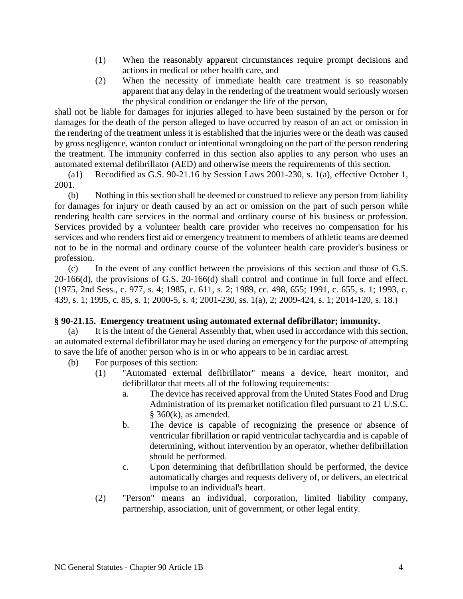- (1) When the reasonably apparent circumstances require prompt decisions and actions in medical or other health care, and
- (2) When the necessity of immediate health care treatment is so reasonably apparent that any delay in the rendering of the treatment would seriously worsen the physical condition or endanger the life of the person,

shall not be liable for damages for injuries alleged to have been sustained by the person or for damages for the death of the person alleged to have occurred by reason of an act or omission in the rendering of the treatment unless it is established that the injuries were or the death was caused by gross negligence, wanton conduct or intentional wrongdoing on the part of the person rendering the treatment. The immunity conferred in this section also applies to any person who uses an automated external defibrillator (AED) and otherwise meets the requirements of this section.

(a1) Recodified as G.S. 90-21.16 by Session Laws 2001-230, s. 1(a), effective October 1, 2001.

(b) Nothing in this section shall be deemed or construed to relieve any person from liability for damages for injury or death caused by an act or omission on the part of such person while rendering health care services in the normal and ordinary course of his business or profession. Services provided by a volunteer health care provider who receives no compensation for his services and who renders first aid or emergency treatment to members of athletic teams are deemed not to be in the normal and ordinary course of the volunteer health care provider's business or profession.

(c) In the event of any conflict between the provisions of this section and those of G.S. 20-166(d), the provisions of G.S. 20-166(d) shall control and continue in full force and effect. (1975, 2nd Sess., c. 977, s. 4; 1985, c. 611, s. 2; 1989, cc. 498, 655; 1991, c. 655, s. 1; 1993, c. 439, s. 1; 1995, c. 85, s. 1; 2000-5, s. 4; 2001-230, ss. 1(a), 2; 2009-424, s. 1; 2014-120, s. 18.)

# **§ 90-21.15. Emergency treatment using automated external defibrillator; immunity.**

(a) It is the intent of the General Assembly that, when used in accordance with this section, an automated external defibrillator may be used during an emergency for the purpose of attempting to save the life of another person who is in or who appears to be in cardiac arrest.

- (b) For purposes of this section:
	- (1) "Automated external defibrillator" means a device, heart monitor, and defibrillator that meets all of the following requirements:
		- a. The device has received approval from the United States Food and Drug Administration of its premarket notification filed pursuant to 21 U.S.C. § 360(k), as amended.
		- b. The device is capable of recognizing the presence or absence of ventricular fibrillation or rapid ventricular tachycardia and is capable of determining, without intervention by an operator, whether defibrillation should be performed.
		- c. Upon determining that defibrillation should be performed, the device automatically charges and requests delivery of, or delivers, an electrical impulse to an individual's heart.
	- (2) "Person" means an individual, corporation, limited liability company, partnership, association, unit of government, or other legal entity.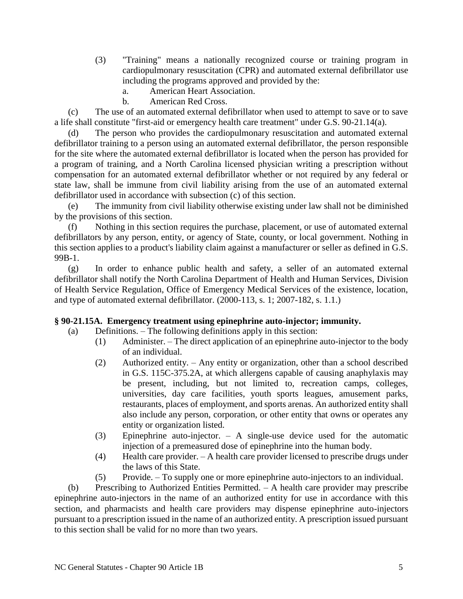- (3) "Training" means a nationally recognized course or training program in cardiopulmonary resuscitation (CPR) and automated external defibrillator use including the programs approved and provided by the:
	- a. American Heart Association.
	- b. American Red Cross.

(c) The use of an automated external defibrillator when used to attempt to save or to save a life shall constitute "first-aid or emergency health care treatment" under G.S. 90-21.14(a).

(d) The person who provides the cardiopulmonary resuscitation and automated external defibrillator training to a person using an automated external defibrillator, the person responsible for the site where the automated external defibrillator is located when the person has provided for a program of training, and a North Carolina licensed physician writing a prescription without compensation for an automated external defibrillator whether or not required by any federal or state law, shall be immune from civil liability arising from the use of an automated external defibrillator used in accordance with subsection (c) of this section.

(e) The immunity from civil liability otherwise existing under law shall not be diminished by the provisions of this section.

(f) Nothing in this section requires the purchase, placement, or use of automated external defibrillators by any person, entity, or agency of State, county, or local government. Nothing in this section applies to a product's liability claim against a manufacturer or seller as defined in G.S. 99B-1.

(g) In order to enhance public health and safety, a seller of an automated external defibrillator shall notify the North Carolina Department of Health and Human Services, Division of Health Service Regulation, Office of Emergency Medical Services of the existence, location, and type of automated external defibrillator. (2000-113, s. 1; 2007-182, s. 1.1.)

# **§ 90-21.15A. Emergency treatment using epinephrine auto-injector; immunity.**

- (a) Definitions. The following definitions apply in this section:
	- (1) Administer. The direct application of an epinephrine auto-injector to the body of an individual.
	- (2) Authorized entity. Any entity or organization, other than a school described in G.S. 115C-375.2A, at which allergens capable of causing anaphylaxis may be present, including, but not limited to, recreation camps, colleges, universities, day care facilities, youth sports leagues, amusement parks, restaurants, places of employment, and sports arenas. An authorized entity shall also include any person, corporation, or other entity that owns or operates any entity or organization listed.
	- (3) Epinephrine auto-injector. A single-use device used for the automatic injection of a premeasured dose of epinephrine into the human body.
	- (4) Health care provider. A health care provider licensed to prescribe drugs under the laws of this State.
	- (5) Provide. To supply one or more epinephrine auto-injectors to an individual.

(b) Prescribing to Authorized Entities Permitted. – A health care provider may prescribe epinephrine auto-injectors in the name of an authorized entity for use in accordance with this section, and pharmacists and health care providers may dispense epinephrine auto-injectors pursuant to a prescription issued in the name of an authorized entity. A prescription issued pursuant to this section shall be valid for no more than two years.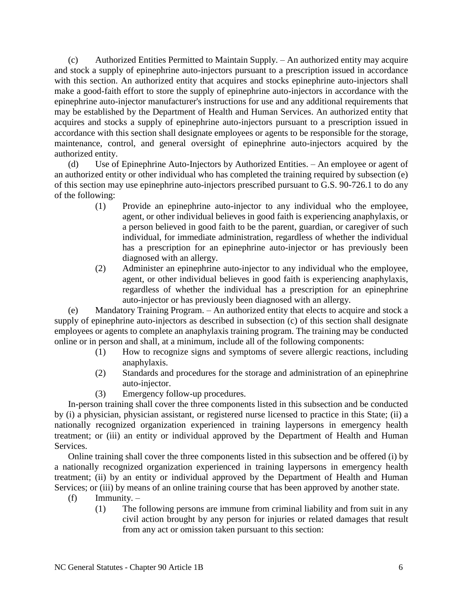(c) Authorized Entities Permitted to Maintain Supply. – An authorized entity may acquire and stock a supply of epinephrine auto-injectors pursuant to a prescription issued in accordance with this section. An authorized entity that acquires and stocks epinephrine auto-injectors shall make a good-faith effort to store the supply of epinephrine auto-injectors in accordance with the epinephrine auto-injector manufacturer's instructions for use and any additional requirements that may be established by the Department of Health and Human Services. An authorized entity that acquires and stocks a supply of epinephrine auto-injectors pursuant to a prescription issued in accordance with this section shall designate employees or agents to be responsible for the storage, maintenance, control, and general oversight of epinephrine auto-injectors acquired by the authorized entity.

(d) Use of Epinephrine Auto-Injectors by Authorized Entities. – An employee or agent of an authorized entity or other individual who has completed the training required by subsection (e) of this section may use epinephrine auto-injectors prescribed pursuant to G.S. 90-726.1 to do any of the following:

- (1) Provide an epinephrine auto-injector to any individual who the employee, agent, or other individual believes in good faith is experiencing anaphylaxis, or a person believed in good faith to be the parent, guardian, or caregiver of such individual, for immediate administration, regardless of whether the individual has a prescription for an epinephrine auto-injector or has previously been diagnosed with an allergy.
- (2) Administer an epinephrine auto-injector to any individual who the employee, agent, or other individual believes in good faith is experiencing anaphylaxis, regardless of whether the individual has a prescription for an epinephrine auto-injector or has previously been diagnosed with an allergy.

(e) Mandatory Training Program. – An authorized entity that elects to acquire and stock a supply of epinephrine auto-injectors as described in subsection (c) of this section shall designate employees or agents to complete an anaphylaxis training program. The training may be conducted online or in person and shall, at a minimum, include all of the following components:

- (1) How to recognize signs and symptoms of severe allergic reactions, including anaphylaxis.
- (2) Standards and procedures for the storage and administration of an epinephrine auto-injector.
- (3) Emergency follow-up procedures.

In-person training shall cover the three components listed in this subsection and be conducted by (i) a physician, physician assistant, or registered nurse licensed to practice in this State; (ii) a nationally recognized organization experienced in training laypersons in emergency health treatment; or (iii) an entity or individual approved by the Department of Health and Human **Services** 

Online training shall cover the three components listed in this subsection and be offered (i) by a nationally recognized organization experienced in training laypersons in emergency health treatment; (ii) by an entity or individual approved by the Department of Health and Human Services; or (iii) by means of an online training course that has been approved by another state.

- $(f)$  Immunity.
	- (1) The following persons are immune from criminal liability and from suit in any civil action brought by any person for injuries or related damages that result from any act or omission taken pursuant to this section: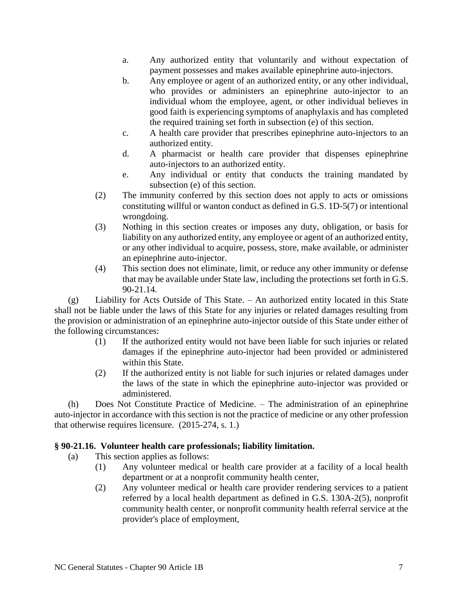- a. Any authorized entity that voluntarily and without expectation of payment possesses and makes available epinephrine auto-injectors.
- b. Any employee or agent of an authorized entity, or any other individual, who provides or administers an epinephrine auto-injector to an individual whom the employee, agent, or other individual believes in good faith is experiencing symptoms of anaphylaxis and has completed the required training set forth in subsection (e) of this section.
- c. A health care provider that prescribes epinephrine auto-injectors to an authorized entity.
- d. A pharmacist or health care provider that dispenses epinephrine auto-injectors to an authorized entity.
- e. Any individual or entity that conducts the training mandated by subsection (e) of this section.
- (2) The immunity conferred by this section does not apply to acts or omissions constituting willful or wanton conduct as defined in G.S. 1D-5(7) or intentional wrongdoing.
- (3) Nothing in this section creates or imposes any duty, obligation, or basis for liability on any authorized entity, any employee or agent of an authorized entity, or any other individual to acquire, possess, store, make available, or administer an epinephrine auto-injector.
- (4) This section does not eliminate, limit, or reduce any other immunity or defense that may be available under State law, including the protections set forth in G.S. 90-21.14.

(g) Liability for Acts Outside of This State. – An authorized entity located in this State shall not be liable under the laws of this State for any injuries or related damages resulting from the provision or administration of an epinephrine auto-injector outside of this State under either of the following circumstances:

- (1) If the authorized entity would not have been liable for such injuries or related damages if the epinephrine auto-injector had been provided or administered within this State.
- (2) If the authorized entity is not liable for such injuries or related damages under the laws of the state in which the epinephrine auto-injector was provided or administered.

(h) Does Not Constitute Practice of Medicine. – The administration of an epinephrine auto-injector in accordance with this section is not the practice of medicine or any other profession that otherwise requires licensure. (2015-274, s. 1.)

# **§ 90-21.16. Volunteer health care professionals; liability limitation.**

- (a) This section applies as follows:
	- (1) Any volunteer medical or health care provider at a facility of a local health department or at a nonprofit community health center,
	- (2) Any volunteer medical or health care provider rendering services to a patient referred by a local health department as defined in G.S. 130A-2(5), nonprofit community health center, or nonprofit community health referral service at the provider's place of employment,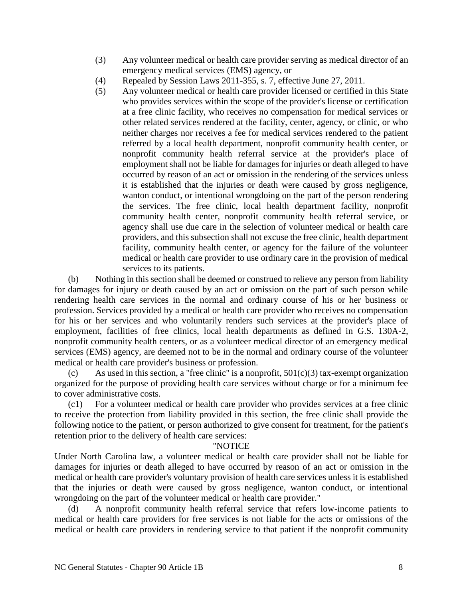- (3) Any volunteer medical or health care provider serving as medical director of an emergency medical services (EMS) agency, or
- (4) Repealed by Session Laws 2011-355, s. 7, effective June 27, 2011.
- (5) Any volunteer medical or health care provider licensed or certified in this State who provides services within the scope of the provider's license or certification at a free clinic facility, who receives no compensation for medical services or other related services rendered at the facility, center, agency, or clinic, or who neither charges nor receives a fee for medical services rendered to the patient referred by a local health department, nonprofit community health center, or nonprofit community health referral service at the provider's place of employment shall not be liable for damages for injuries or death alleged to have occurred by reason of an act or omission in the rendering of the services unless it is established that the injuries or death were caused by gross negligence, wanton conduct, or intentional wrongdoing on the part of the person rendering the services. The free clinic, local health department facility, nonprofit community health center, nonprofit community health referral service, or agency shall use due care in the selection of volunteer medical or health care providers, and this subsection shall not excuse the free clinic, health department facility, community health center, or agency for the failure of the volunteer medical or health care provider to use ordinary care in the provision of medical services to its patients.

(b) Nothing in this section shall be deemed or construed to relieve any person from liability for damages for injury or death caused by an act or omission on the part of such person while rendering health care services in the normal and ordinary course of his or her business or profession. Services provided by a medical or health care provider who receives no compensation for his or her services and who voluntarily renders such services at the provider's place of employment, facilities of free clinics, local health departments as defined in G.S. 130A-2, nonprofit community health centers, or as a volunteer medical director of an emergency medical services (EMS) agency, are deemed not to be in the normal and ordinary course of the volunteer medical or health care provider's business or profession.

(c) As used in this section, a "free clinic" is a nonprofit,  $501(c)(3)$  tax-exempt organization organized for the purpose of providing health care services without charge or for a minimum fee to cover administrative costs.

(c1) For a volunteer medical or health care provider who provides services at a free clinic to receive the protection from liability provided in this section, the free clinic shall provide the following notice to the patient, or person authorized to give consent for treatment, for the patient's retention prior to the delivery of health care services:

### "NOTICE

Under North Carolina law, a volunteer medical or health care provider shall not be liable for damages for injuries or death alleged to have occurred by reason of an act or omission in the medical or health care provider's voluntary provision of health care services unless it is established that the injuries or death were caused by gross negligence, wanton conduct, or intentional wrongdoing on the part of the volunteer medical or health care provider."

(d) A nonprofit community health referral service that refers low-income patients to medical or health care providers for free services is not liable for the acts or omissions of the medical or health care providers in rendering service to that patient if the nonprofit community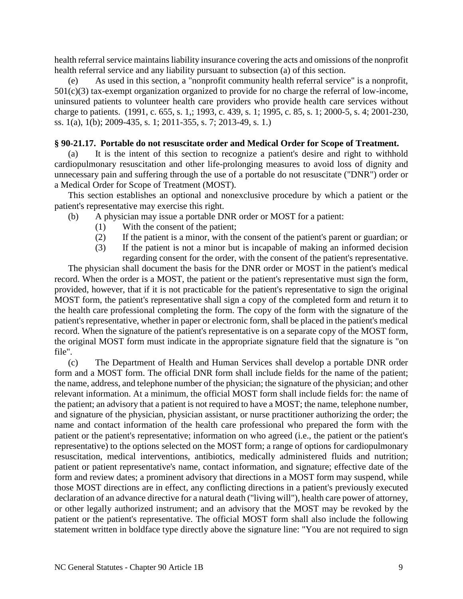health referral service maintains liability insurance covering the acts and omissions of the nonprofit health referral service and any liability pursuant to subsection (a) of this section.

(e) As used in this section, a "nonprofit community health referral service" is a nonprofit, 501(c)(3) tax-exempt organization organized to provide for no charge the referral of low-income, uninsured patients to volunteer health care providers who provide health care services without charge to patients. (1991, c. 655, s. 1,; 1993, c. 439, s. 1; 1995, c. 85, s. 1; 2000-5, s. 4; 2001-230, ss. 1(a), 1(b); 2009-435, s. 1; 2011-355, s. 7; 2013-49, s. 1.)

### **§ 90-21.17. Portable do not resuscitate order and Medical Order for Scope of Treatment.**

(a) It is the intent of this section to recognize a patient's desire and right to withhold cardiopulmonary resuscitation and other life-prolonging measures to avoid loss of dignity and unnecessary pain and suffering through the use of a portable do not resuscitate ("DNR") order or a Medical Order for Scope of Treatment (MOST).

This section establishes an optional and nonexclusive procedure by which a patient or the patient's representative may exercise this right.

- (b) A physician may issue a portable DNR order or MOST for a patient:
	- (1) With the consent of the patient;
	- (2) If the patient is a minor, with the consent of the patient's parent or guardian; or
	- (3) If the patient is not a minor but is incapable of making an informed decision regarding consent for the order, with the consent of the patient's representative.

The physician shall document the basis for the DNR order or MOST in the patient's medical record. When the order is a MOST, the patient or the patient's representative must sign the form, provided, however, that if it is not practicable for the patient's representative to sign the original MOST form, the patient's representative shall sign a copy of the completed form and return it to the health care professional completing the form. The copy of the form with the signature of the patient's representative, whether in paper or electronic form, shall be placed in the patient's medical record. When the signature of the patient's representative is on a separate copy of the MOST form, the original MOST form must indicate in the appropriate signature field that the signature is "on file".

(c) The Department of Health and Human Services shall develop a portable DNR order form and a MOST form. The official DNR form shall include fields for the name of the patient; the name, address, and telephone number of the physician; the signature of the physician; and other relevant information. At a minimum, the official MOST form shall include fields for: the name of the patient; an advisory that a patient is not required to have a MOST; the name, telephone number, and signature of the physician, physician assistant, or nurse practitioner authorizing the order; the name and contact information of the health care professional who prepared the form with the patient or the patient's representative; information on who agreed (i.e., the patient or the patient's representative) to the options selected on the MOST form; a range of options for cardiopulmonary resuscitation, medical interventions, antibiotics, medically administered fluids and nutrition; patient or patient representative's name, contact information, and signature; effective date of the form and review dates; a prominent advisory that directions in a MOST form may suspend, while those MOST directions are in effect, any conflicting directions in a patient's previously executed declaration of an advance directive for a natural death ("living will"), health care power of attorney, or other legally authorized instrument; and an advisory that the MOST may be revoked by the patient or the patient's representative. The official MOST form shall also include the following statement written in boldface type directly above the signature line: "You are not required to sign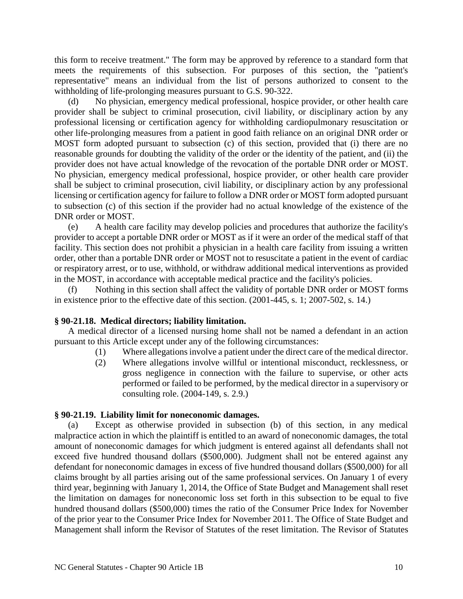this form to receive treatment." The form may be approved by reference to a standard form that meets the requirements of this subsection. For purposes of this section, the "patient's representative" means an individual from the list of persons authorized to consent to the withholding of life-prolonging measures pursuant to G.S. 90-322.

(d) No physician, emergency medical professional, hospice provider, or other health care provider shall be subject to criminal prosecution, civil liability, or disciplinary action by any professional licensing or certification agency for withholding cardiopulmonary resuscitation or other life-prolonging measures from a patient in good faith reliance on an original DNR order or MOST form adopted pursuant to subsection (c) of this section, provided that (i) there are no reasonable grounds for doubting the validity of the order or the identity of the patient, and (ii) the provider does not have actual knowledge of the revocation of the portable DNR order or MOST. No physician, emergency medical professional, hospice provider, or other health care provider shall be subject to criminal prosecution, civil liability, or disciplinary action by any professional licensing or certification agency for failure to follow a DNR order or MOST form adopted pursuant to subsection (c) of this section if the provider had no actual knowledge of the existence of the DNR order or MOST.

(e) A health care facility may develop policies and procedures that authorize the facility's provider to accept a portable DNR order or MOST as if it were an order of the medical staff of that facility. This section does not prohibit a physician in a health care facility from issuing a written order, other than a portable DNR order or MOST not to resuscitate a patient in the event of cardiac or respiratory arrest, or to use, withhold, or withdraw additional medical interventions as provided in the MOST, in accordance with acceptable medical practice and the facility's policies.

(f) Nothing in this section shall affect the validity of portable DNR order or MOST forms in existence prior to the effective date of this section. (2001-445, s. 1; 2007-502, s. 14.)

### **§ 90-21.18. Medical directors; liability limitation.**

A medical director of a licensed nursing home shall not be named a defendant in an action pursuant to this Article except under any of the following circumstances:

- (1) Where allegations involve a patient under the direct care of the medical director.
- (2) Where allegations involve willful or intentional misconduct, recklessness, or gross negligence in connection with the failure to supervise, or other acts performed or failed to be performed, by the medical director in a supervisory or consulting role. (2004-149, s. 2.9.)

#### **§ 90-21.19. Liability limit for noneconomic damages.**

(a) Except as otherwise provided in subsection (b) of this section, in any medical malpractice action in which the plaintiff is entitled to an award of noneconomic damages, the total amount of noneconomic damages for which judgment is entered against all defendants shall not exceed five hundred thousand dollars (\$500,000). Judgment shall not be entered against any defendant for noneconomic damages in excess of five hundred thousand dollars (\$500,000) for all claims brought by all parties arising out of the same professional services. On January 1 of every third year, beginning with January 1, 2014, the Office of State Budget and Management shall reset the limitation on damages for noneconomic loss set forth in this subsection to be equal to five hundred thousand dollars (\$500,000) times the ratio of the Consumer Price Index for November of the prior year to the Consumer Price Index for November 2011. The Office of State Budget and Management shall inform the Revisor of Statutes of the reset limitation. The Revisor of Statutes